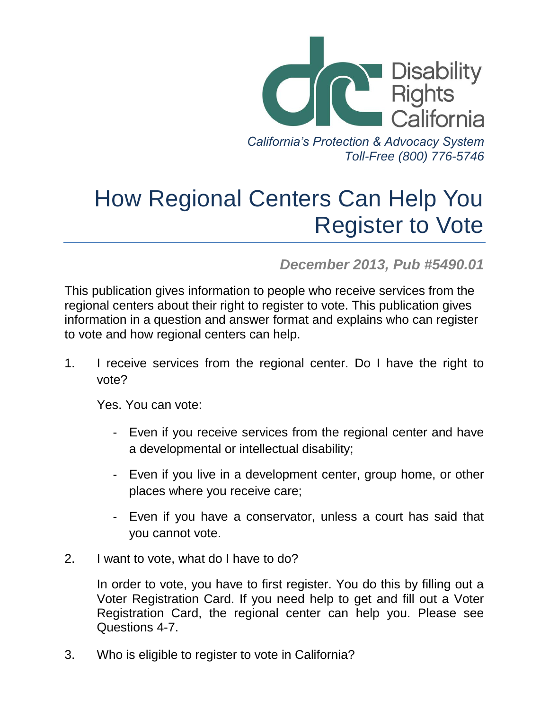

*Toll-Free (800) 776-5746*

## How Regional Centers Can Help You Register to Vote

*December 2013, Pub #5490.01*

This publication gives information to people who receive services from the regional centers about their right to register to vote. This publication gives information in a question and answer format and explains who can register to vote and how regional centers can help.

1. I receive services from the regional center. Do I have the right to vote?

Yes. You can vote:

- Even if you receive services from the regional center and have a developmental or intellectual disability;
- Even if you live in a development center, group home, or other places where you receive care;
- Even if you have a conservator, unless a court has said that you cannot vote.
- 2. I want to vote, what do I have to do?

In order to vote, you have to first register. You do this by filling out a Voter Registration Card. If you need help to get and fill out a Voter Registration Card, the regional center can help you. Please see Questions 4-7.

3. Who is eligible to register to vote in California?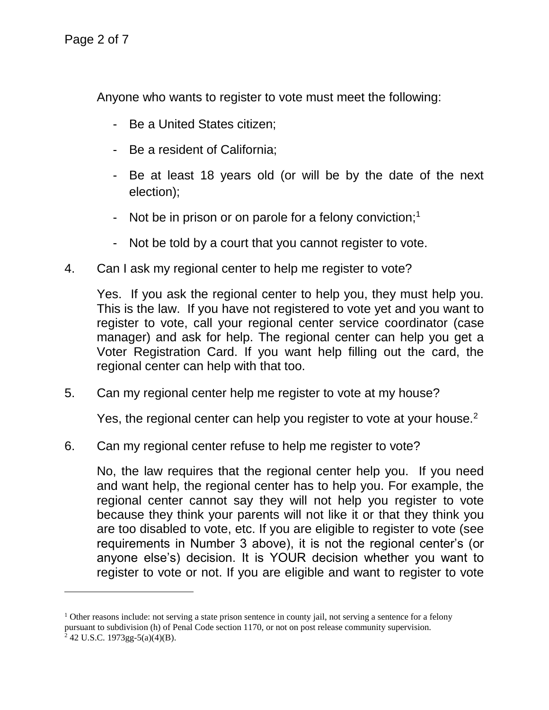Anyone who wants to register to vote must meet the following:

- Be a United States citizen;
- Be a resident of California;
- Be at least 18 years old (or will be by the date of the next election);
- Not be in prison or on parole for a felony conviction;<sup>1</sup>
- Not be told by a court that you cannot register to vote.
- 4. Can I ask my regional center to help me register to vote?

Yes. If you ask the regional center to help you, they must help you. This is the law. If you have not registered to vote yet and you want to register to vote, call your regional center service coordinator (case manager) and ask for help. The regional center can help you get a Voter Registration Card. If you want help filling out the card, the regional center can help with that too.

5. Can my regional center help me register to vote at my house?

Yes, the regional center can help you register to vote at your house.<sup>2</sup>

6. Can my regional center refuse to help me register to vote?

No, the law requires that the regional center help you. If you need and want help, the regional center has to help you. For example, the regional center cannot say they will not help you register to vote because they think your parents will not like it or that they think you are too disabled to vote, etc. If you are eligible to register to vote (see requirements in Number 3 above), it is not the regional center's (or anyone else's) decision. It is YOUR decision whether you want to register to vote or not. If you are eligible and want to register to vote

<sup>&</sup>lt;sup>1</sup> Other reasons include: not serving a state prison sentence in county jail, not serving a sentence for a felony pursuant to subdivision (h) of Penal Code section 1170, or not on post release community supervision.  $2$  42 U.S.C. 1973gg-5(a)(4)(B).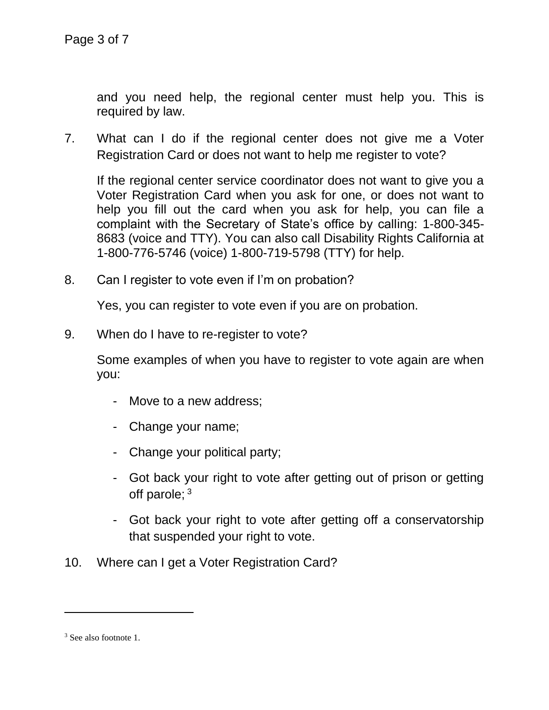and you need help, the regional center must help you. This is required by law.

7. What can I do if the regional center does not give me a Voter Registration Card or does not want to help me register to vote?

If the regional center service coordinator does not want to give you a Voter Registration Card when you ask for one, or does not want to help you fill out the card when you ask for help, you can file a complaint with the Secretary of State's office by calling: 1-800-345- 8683 (voice and TTY). You can also call Disability Rights California at 1-800-776-5746 (voice) 1-800-719-5798 (TTY) for help.

8. Can I register to vote even if I'm on probation?

Yes, you can register to vote even if you are on probation.

9. When do I have to re-register to vote?

Some examples of when you have to register to vote again are when you:

- Move to a new address;
- Change your name;
- Change your political party;
- Got back your right to vote after getting out of prison or getting off parole; <sup>3</sup>
- Got back your right to vote after getting off a conservatorship that suspended your right to vote.
- 10. Where can I get a Voter Registration Card?

l

<sup>&</sup>lt;sup>3</sup> See also footnote 1.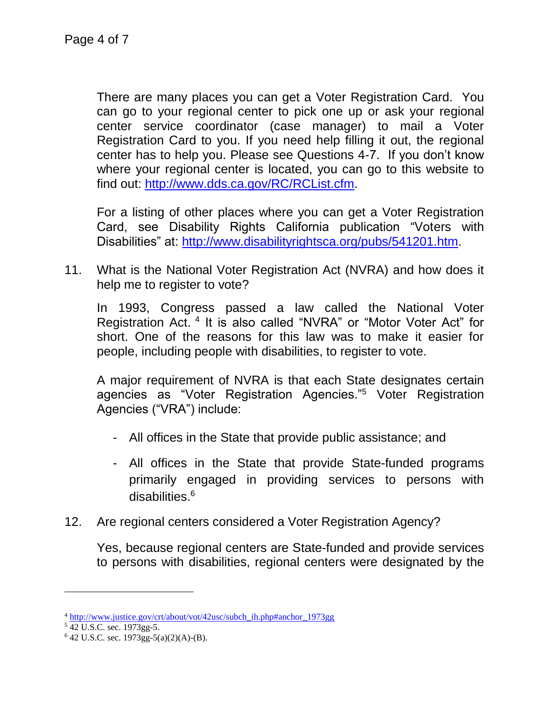There are many places you can get a Voter Registration Card. You can go to your regional center to pick one up or ask your regional center service coordinator (case manager) to mail a Voter Registration Card to you. If you need help filling it out, the regional center has to help you. Please see Questions 4-7. If you don't know where your regional center is located, you can go to this website to find out: [http://www.dds.ca.gov/RC/RCList.cfm.](http://www.dds.ca.gov/RC/RCList.cfm)

For a listing of other places where you can get a Voter Registration Card, see Disability Rights California publication "Voters with Disabilities" at: [http://www.disabilityrightsca.org/pubs/541201.htm.](http://www.disabilityrightsca.org/pubs/541201.htm)

11. What is the National Voter Registration Act (NVRA) and how does it help me to register to vote?

In 1993, Congress passed a law called the National Voter Registration Act. <sup>4</sup> It is also called "NVRA" or "Motor Voter Act" for short. One of the reasons for this law was to make it easier for people, including people with disabilities, to register to vote.

A major requirement of NVRA is that each State designates certain agencies as "Voter Registration Agencies."<sup>5</sup> Voter Registration Agencies ("VRA") include:

- All offices in the State that provide public assistance; and
- All offices in the State that provide State-funded programs primarily engaged in providing services to persons with disabilities. 6
- 12. Are regional centers considered a Voter Registration Agency?

Yes, because regional centers are State-funded and provide services to persons with disabilities, regional centers were designated by the

<sup>4</sup> [http://www.justice.gov/crt/about/vot/42usc/subch\\_ih.php#anchor\\_1973gg](http://www.justice.gov/crt/about/vot/42usc/subch_ih.php#anchor_1973gg)

<sup>5</sup> 42 U.S.C. sec. 1973gg-5.

 $6$  42 U.S.C. sec. 1973gg-5(a)(2)(A)-(B).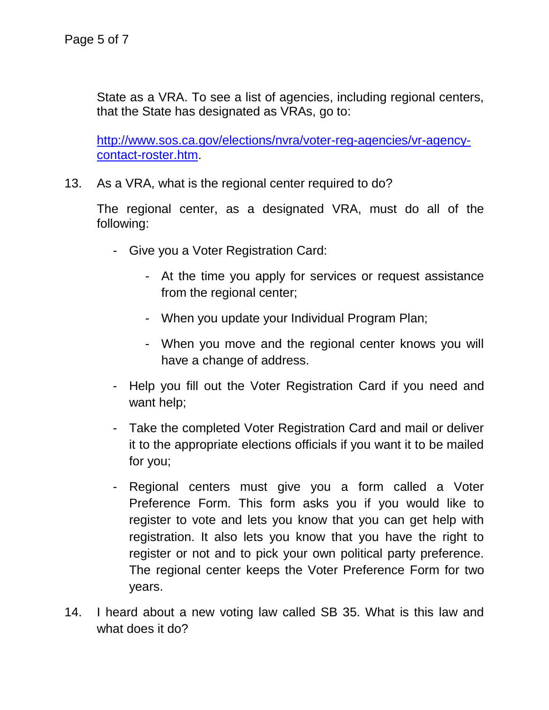State as a VRA. To see a list of agencies, including regional centers, that the State has designated as VRAs, go to:

[http://www.sos.ca.gov/elections/nvra/voter-reg-agencies/vr-agency](http://www.sos.ca.gov/elections/nvra/voter-reg-agencies/vr-agency-contact-roster.htm)[contact-roster.htm.](http://www.sos.ca.gov/elections/nvra/voter-reg-agencies/vr-agency-contact-roster.htm)

13. As a VRA, what is the regional center required to do?

The regional center, as a designated VRA, must do all of the following:

- Give you a Voter Registration Card:
	- At the time you apply for services or request assistance from the regional center;
	- When you update your Individual Program Plan;
	- When you move and the regional center knows you will have a change of address.
- Help you fill out the Voter Registration Card if you need and want help;
- Take the completed Voter Registration Card and mail or deliver it to the appropriate elections officials if you want it to be mailed for you;
- Regional centers must give you a form called a Voter Preference Form. This form asks you if you would like to register to vote and lets you know that you can get help with registration. It also lets you know that you have the right to register or not and to pick your own political party preference. The regional center keeps the Voter Preference Form for two years.
- 14. I heard about a new voting law called SB 35. What is this law and what does it do?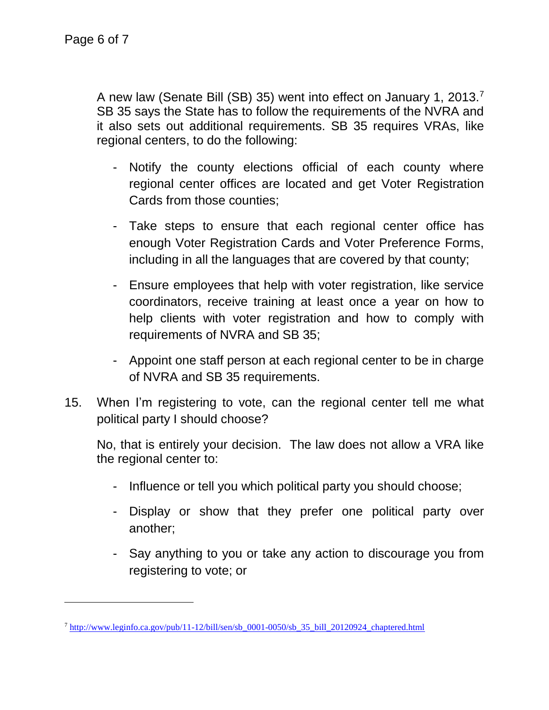l

A new law (Senate Bill (SB) 35) went into effect on January 1, 2013.<sup>7</sup> SB 35 says the State has to follow the requirements of the NVRA and it also sets out additional requirements. SB 35 requires VRAs, like regional centers, to do the following:

- Notify the county elections official of each county where regional center offices are located and get Voter Registration Cards from those counties;
- Take steps to ensure that each regional center office has enough Voter Registration Cards and Voter Preference Forms, including in all the languages that are covered by that county;
- Ensure employees that help with voter registration, like service coordinators, receive training at least once a year on how to help clients with voter registration and how to comply with requirements of NVRA and SB 35;
- Appoint one staff person at each regional center to be in charge of NVRA and SB 35 requirements.
- 15. When I'm registering to vote, can the regional center tell me what political party I should choose?

No, that is entirely your decision. The law does not allow a VRA like the regional center to:

- Influence or tell you which political party you should choose;
- Display or show that they prefer one political party over another;
- Say anything to you or take any action to discourage you from registering to vote; or

<sup>7</sup> [http://www.leginfo.ca.gov/pub/11-12/bill/sen/sb\\_0001-0050/sb\\_35\\_bill\\_20120924\\_chaptered.html](http://www.leginfo.ca.gov/pub/11-12/bill/sen/sb_0001-0050/sb_35_bill_20120924_chaptered.html)